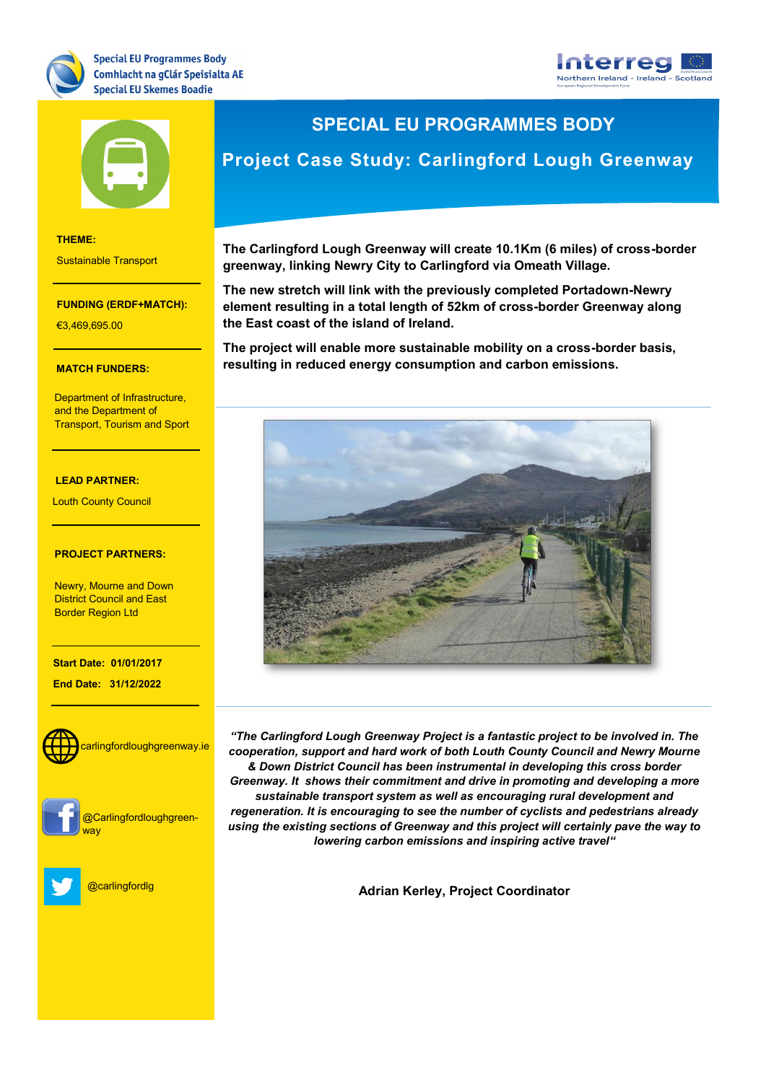





**THEME:** Sustainable Transport

### **FUNDING (ERDF+MATCH):**

€3,469,695.00

### **THEME: MATCH FUNDERS:**

<u>.</u><br>Department of Infrastructure, and the Department of **Allac** Transport, Tourism and Sport

### **LEAD PARTNER:**

<u>.</u><br>Louth County Council

### **PROJECT PARTNERS:**

District Council and East Border Region Ltd<br>-Newry, Mourne and Down

**Start Date: 01/01/2017**

- The South West

of Scotland **End Date: 31/12/2022**





@Carlingfordloughgreen-



@carlingfordlg

## **SPECIAL EU PROGRAMMES BODY**

# **Project Case Study: Carlingford Lough Greenway**

**The Carlingford Lough Greenway will create 10.1Km (6 miles) of cross-border greenway, linking Newry City to Carlingford via Omeath Village.**

**The new stretch will link with the previously completed Portadown-Newry element resulting in a total length of 52km of cross-border Greenway along the East coast of the island of Ireland.**

**The project will enable more sustainable mobility on a cross-border basis, resulting in reduced energy consumption and carbon emissions.**



*"The Carlingford Lough Greenway Project is a fantastic project to be involved in. The cooperation, support and hard work of both Louth County Council and Newry Mourne & Down District Council has been instrumental in developing this cross border Greenway. It shows their commitment and drive in promoting and developing a more sustainable transport system as well as encouraging rural development and regeneration. It is encouraging to see the number of cyclists and pedestrians already using the existing sections of Greenway and this project will certainly pave the way to lowering carbon emissions and inspiring active travel"*

**Adrian Kerley, Project Coordinator**